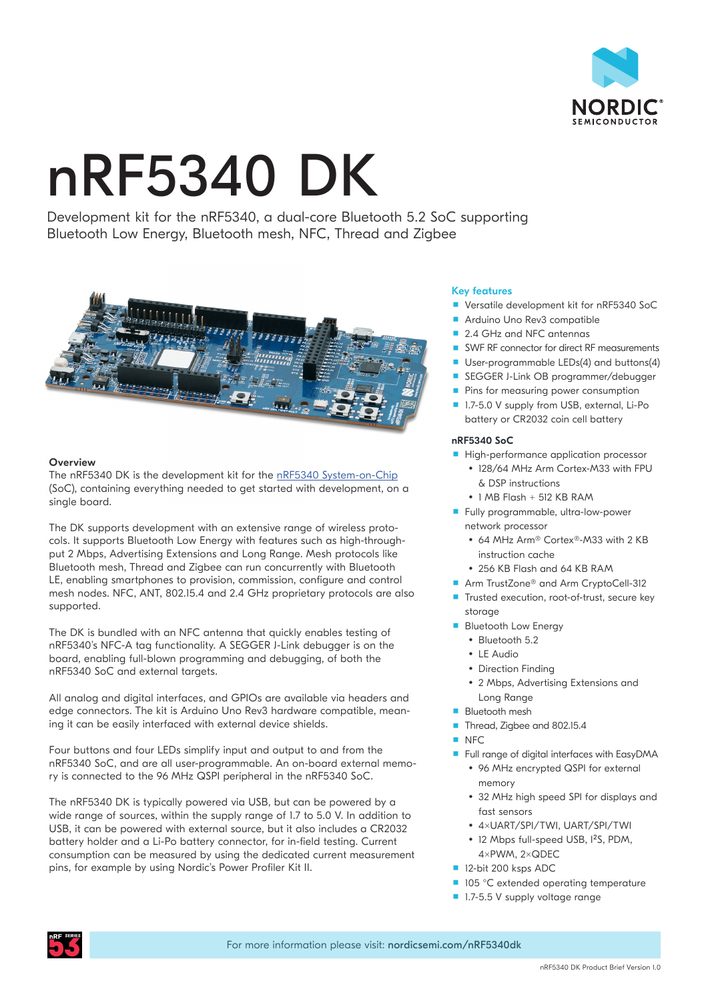

# nRF5340 DK

Development kit for the nRF5340, a dual-core Bluetooth 5.2 SoC supporting Bluetooth Low Energy, Bluetooth mesh, NFC, Thread and Zigbee



# **Overview**

The nRF5340 DK is the development kit for the [nRF5340 System-on-Chip](https://www.nordicsemi.com/Products/Low-power-short-range-wireless/nRF5340) (SoC), containing everything needed to get started with development, on a single board.

The DK supports development with an extensive range of wireless protocols. It supports Bluetooth Low Energy with features such as high-throughput 2 Mbps, Advertising Extensions and Long Range. Mesh protocols like Bluetooth mesh, Thread and Zigbee can run concurrently with Bluetooth LE, enabling smartphones to provision, commission, configure and control mesh nodes. NFC, ANT, 802.15.4 and 2.4 GHz proprietary protocols are also supported.

The DK is bundled with an NFC antenna that quickly enables testing of nRF5340's NFC-A tag functionality. A SEGGER J-Link debugger is on the board, enabling full-blown programming and debugging, of both the nRF5340 SoC and external targets.

All analog and digital interfaces, and GPIOs are available via headers and edge connectors. The kit is Arduino Uno Rev3 hardware compatible, meaning it can be easily interfaced with external device shields.

Four buttons and four LEDs simplify input and output to and from the nRF5340 SoC, and are all user-programmable. An on-board external memory is connected to the 96 MHz QSPI peripheral in the nRF5340 SoC.

The nRF5340 DK is typically powered via USB, but can be powered by a wide range of sources, within the supply range of 1.7 to 5.0 V. In addition to USB, it can be powered with external source, but it also includes a CR2032 battery holder and a Li-Po battery connector, for in-field testing. Current consumption can be measured by using the dedicated current measurement pins, for example by using Nordic's Power Profiler Kit II.

# Key features

- Versatile development kit for nRF5340 SoC
- Arduino Uno Rev3 compatible
- 2.4 GHz and NFC antennas
- SWF RF connector for direct RF measurements
- User-programmable LEDs(4) and buttons(4)
- SEGGER J-Link OB programmer/debugger
- **Pins for measuring power consumption**
- 1.7-5.0 V supply from USB, external, Li-Po battery or CR2032 coin cell battery

#### nRF5340 SoC

- High-performance application processor
	- 128/64 MHz Arm Cortex-M33 with FPU & DSP instructions
	- y 1 MB Flash + 512 KB RAM
- Fully programmable, ultra-low-power network processor
	- y 64 MHz Arm® Cortex®-M33 with 2 KB instruction cache
	- 256 KB Flash and 64 KB RAM
- Arm TrustZone<sup>®</sup> and Arm CryptoCell-312
- Trusted execution, root-of-trust, secure key storage
- **Bluetooth Low Energy** 
	- Bluetooth 5.2
	- $\cdot$  LE Audio
	- Direction Finding
	- 2 Mbps, Advertising Extensions and Long Range
- **Bluetooth mesh**
- Thread, Zigbee and 802.15.4
- $NFC$
- **Full range of digital interfaces with EasyDMA** • 96 MHz encrypted QSPI for external
	- memory • 32 MHz high speed SPI for displays and
	- fast sensors
	- y 4xUART/SPI/TWI, UART/SPI/TWI
	- 12 Mbps full-speed USB, I<sup>2</sup>S, PDM, 4xPWM, 2xQDEC
- 12-bit 200 ksps ADC
- 105 °C extended operating temperature
- **1.7-5.5 V supply voltage range**